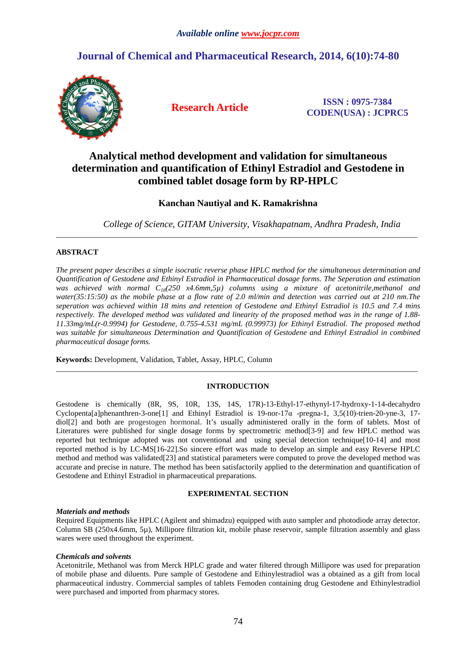# **Journal of Chemical and Pharmaceutical Research, 2014, 6(10):74-80**



**Research Article ISSN : 0975-7384 CODEN(USA) : JCPRC5**

# **Analytical method development and validation for simultaneous determination and quantification of Ethinyl Estradiol and Gestodene in combined tablet dosage form by RP-HPLC**

# **Kanchan Nautiyal and K. Ramakrishna**

\_\_\_\_\_\_\_\_\_\_\_\_\_\_\_\_\_\_\_\_\_\_\_\_\_\_\_\_\_\_\_\_\_\_\_\_\_\_\_\_\_\_\_\_\_\_\_\_\_\_\_\_\_\_\_\_\_\_\_\_\_\_\_\_\_\_\_\_\_\_\_\_\_\_\_\_\_\_\_\_\_\_\_\_\_\_\_\_\_\_\_\_\_

*College of Science, GITAM University, Visakhapatnam, Andhra Pradesh, India* 

# **ABSTRACT**

*The present paper describes a simple isocratic reverse phase HPLC method for the simultaneous determination and Quantification of Gestodene and Ethinyl Estradiol in Pharmaceutical dosage forms. The Seperation and estimation was achieved with normal C18(250 x4.6mm,5µ) columns using a mixture of acetonitrile,methanol and water(35:15:50) as the mobile phase at a flow rate of 2.0 ml/min and detection was carried out at 210 nm.The seperation was achieved within 18 mins and retention of Gestodene and Ethinyl Estradiol is 10.5 and 7.4 mins respectively. The developed method was validated and linearity of the proposed method was in the range of 1.88- 11.33mg/mL(r-0.9994) for Gestodene, 0.755-4.531 mg/mL (0.99973) for Ethinyl Estradiol. The proposed method was suitable for simultaneous Determination and Quantification of Gestodene and Ethinyl Estradiol in combined pharmaceutical dosage forms.*

**Keywords:** Development, Validation, Tablet, Assay, HPLC, Column

# **INTRODUCTION**

\_\_\_\_\_\_\_\_\_\_\_\_\_\_\_\_\_\_\_\_\_\_\_\_\_\_\_\_\_\_\_\_\_\_\_\_\_\_\_\_\_\_\_\_\_\_\_\_\_\_\_\_\_\_\_\_\_\_\_\_\_\_\_\_\_\_\_\_\_\_\_\_\_\_\_\_\_\_\_\_\_\_\_\_\_\_\_\_\_\_\_\_\_

Gestodene is chemically (8R, 9S, 10R, 13S, 14S, 17R)-13-Ethyl-17-ethynyl-17-hydroxy-1-14-decahydro Cyclopenta[a]phenanthren-3-one[1] and Ethinyl Estradiol is 19-nor-17α -pregna-1, 3,5(10)-trien-20-yne-3, 17 diol[2] and both are progestogen hormonal. It's usually administered orally in the form of tablets. Most of Literatures were published for single dosage forms by spectrometric method[3-9] and few HPLC method was reported but technique adopted was not conventional and using special detection technique[10-14] and most reported method is by LC-MS[16-22].So sincere effort was made to develop an simple and easy Reverse HPLC method and method was validated[23] and statistical parameters were computed to prove the developed method was accurate and precise in nature. The method has been satisfactorily applied to the determination and quantification of Gestodene and Ethinyl Estradiol in pharmaceutical preparations.

# **EXPERIMENTAL SECTION**

# *Materials and methods*

Required Equipments like HPLC (Agilent and shimadzu) equipped with auto sampler and photodiode array detector. Column SB (250x4.6mm, 5µ), Millipore filtration kit, mobile phase reservoir, sample filtration assembly and glass wares were used throughout the experiment.

# *Chemicals and solvents*

Acetonitrile, Methanol was from Merck HPLC grade and water filtered through Millipore was used for preparation of mobile phase and diluents. Pure sample of Gestodene and Ethinylestradiol was a obtained as a gift from local pharmaceutical industry. Commercial samples of tablets Femoden containing drug Gestodene and Ethinylestradiol were purchased and imported from pharmacy stores.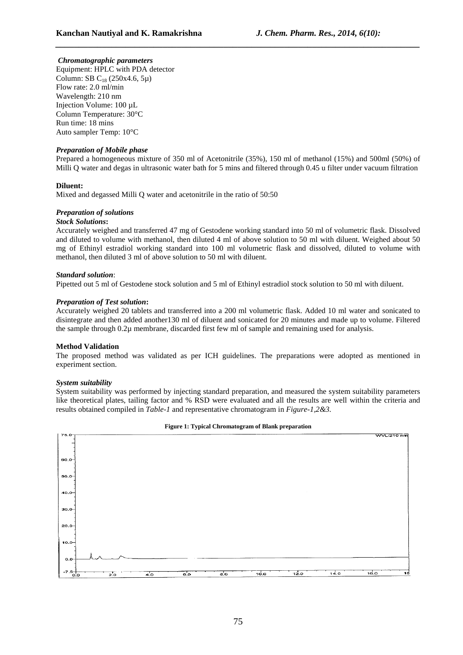# *Chromatographic parameters*

Equipment: HPLC with PDA detector Column: SB  $C_{18}$  (250x4.6, 5µ) Flow rate: 2.0 ml/min Wavelength: 210 nm Injection Volume: 100 µL Column Temperature: 30°C Run time: 18 mins Auto sampler Temp: 10°C

# *Preparation of Mobile phase*

Prepared a homogeneous mixture of 350 ml of Acetonitrile (35%), 150 ml of methanol (15%) and 500ml (50%) of Milli Q water and degas in ultrasonic water bath for 5 mins and filtered through 0.45 u filter under vacuum filtration

*\_\_\_\_\_\_\_\_\_\_\_\_\_\_\_\_\_\_\_\_\_\_\_\_\_\_\_\_\_\_\_\_\_\_\_\_\_\_\_\_\_\_\_\_\_\_\_\_\_\_\_\_\_\_\_\_\_\_\_\_\_\_\_\_\_\_\_\_\_\_\_\_\_\_\_\_\_\_*

# **Diluent:**

Mixed and degassed Milli Q water and acetonitrile in the ratio of 50:50

# *Preparation of solutions*

# *Stock Solutions***:**

Accurately weighed and transferred 47 mg of Gestodene working standard into 50 ml of volumetric flask. Dissolved and diluted to volume with methanol, then diluted 4 ml of above solution to 50 ml with diluent. Weighed about 50 mg of Ethinyl estradiol working standard into 100 ml volumetric flask and dissolved, diluted to volume with methanol, then diluted 3 ml of above solution to 50 ml with diluent.

## *Standard solution*:

Pipetted out 5 ml of Gestodene stock solution and 5 ml of Ethinyl estradiol stock solution to 50 ml with diluent.

# *Preparation of Test solution***:**

Accurately weighed 20 tablets and transferred into a 200 ml volumetric flask. Added 10 ml water and sonicated to disintegrate and then added another130 ml of diluent and sonicated for 20 minutes and made up to volume. Filtered the sample through 0.2µ membrane, discarded first few ml of sample and remaining used for analysis.

# **Method Validation**

The proposed method was validated as per ICH guidelines. The preparations were adopted as mentioned in experiment section.

#### *System suitability*

System suitability was performed by injecting standard preparation, and measured the system suitability parameters like theoretical plates, tailing factor and % RSD were evaluated and all the results are well within the criteria and results obtained compiled in *Table-1* and representative chromatogram in *Figure-1,2&3.* 



#### **Figure 1: Typical Chromatogram of Blank preparation**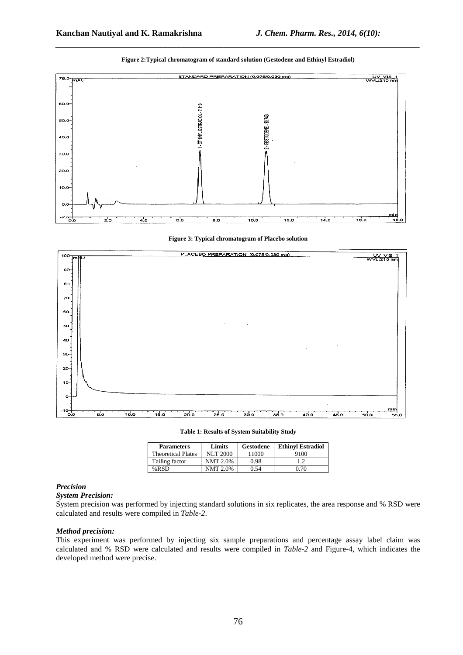

**Figure 2:Typical chromatogram of standard solution (Gestodene and Ethinyl Estradiol)** 

*\_\_\_\_\_\_\_\_\_\_\_\_\_\_\_\_\_\_\_\_\_\_\_\_\_\_\_\_\_\_\_\_\_\_\_\_\_\_\_\_\_\_\_\_\_\_\_\_\_\_\_\_\_\_\_\_\_\_\_\_\_\_\_\_\_\_\_\_\_\_\_\_\_\_\_\_\_\_*





**Table 1: Results of System Suitability Stud***y* 

| <b>Parameters</b>         | Limits          | Gestodene | <b>Ethinyl Estradiol</b> |
|---------------------------|-----------------|-----------|--------------------------|
| <b>Theoretical Plates</b> | <b>NLT 2000</b> | 11000     | 9100                     |
| Tailing factor            | <b>NMT 2.0%</b> | 0.98      |                          |
| %RSD                      | <b>NMT 2.0%</b> | 0.54      | 0.70                     |

#### *Precision*

#### *System Precision:*

System precision was performed by injecting standard solutions in six replicates, the area response and % RSD were calculated and results were compiled in *Table-2*.

# *Method precision:*

This experiment was performed by injecting six sample preparations and percentage assay label claim was calculated and % RSD were calculated and results were compiled in *Table-2* and Figure-4, which indicates the developed method were precise.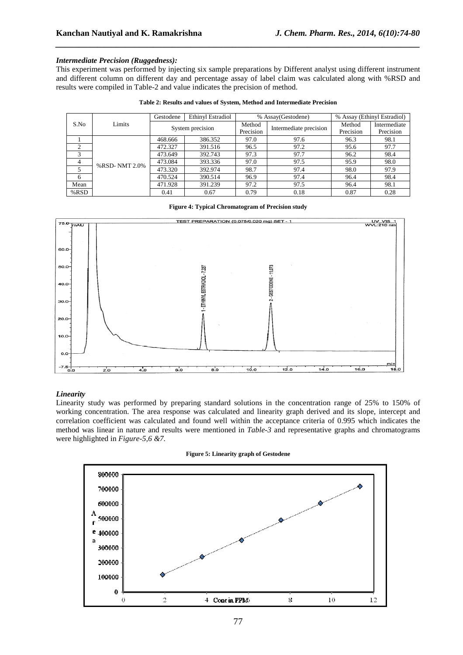# *Intermediate Precision (Ruggedness):*

This experiment was performed by injecting six sample preparations by Different analyst using different instrument and different column on different day and percentage assay of label claim was calculated along with %RSD and results were compiled in Table-2 and value indicates the precision of method.

*\_\_\_\_\_\_\_\_\_\_\_\_\_\_\_\_\_\_\_\_\_\_\_\_\_\_\_\_\_\_\_\_\_\_\_\_\_\_\_\_\_\_\_\_\_\_\_\_\_\_\_\_\_\_\_\_\_\_\_\_\_\_\_\_\_\_\_\_\_\_\_\_\_\_\_\_\_\_*

|  | Table 2: Results and values of System, Method and Intermediate Precision |
|--|--------------------------------------------------------------------------|
|  |                                                                          |

|                |                  | Gestodene | Ethinyl Estradiol | % Assay(Gestodene)     |           | % Assay (Ethinyl Estradiol) |      |
|----------------|------------------|-----------|-------------------|------------------------|-----------|-----------------------------|------|
| Limits<br>S.No | System precision |           | Method            | Intermediate precision | Method    | Intermediate                |      |
|                |                  |           | Precision         |                        | Precision | Precision                   |      |
|                | %RSD-NMT 2.0%    | 468.666   | 386.352           | 97.0                   | 97.6      | 96.3                        | 98.1 |
| 2              |                  | 472.327   | 391.516           | 96.5                   | 97.2      | 95.6                        | 97.7 |
| 3              |                  | 473.649   | 392.743           | 97.3                   | 97.7      | 96.2                        | 98.4 |
| 4              |                  | 473.084   | 393.336           | 97.0                   | 97.5      | 95.9                        | 98.0 |
|                |                  | 473.320   | 392.974           | 98.7                   | 97.4      | 98.0                        | 97.9 |
| 6              |                  | 470.524   | 390.514           | 96.9                   | 97.4      | 96.4                        | 98.4 |
| Mean           |                  | 471.928   | 391.239           | 97.2                   | 97.5      | 96.4                        | 98.1 |
| %RSD           |                  | 0.41      | 0.67              | 0.79                   | 0.18      | 0.87                        | 0.28 |

#### **Figure 4: Typical Chromatogram of Precision study**



# *Linearity*

Linearity study was performed by preparing standard solutions in the concentration range of 25% to 150% of working concentration. The area response was calculated and linearity graph derived and its slope, intercept and correlation coefficient was calculated and found well within the acceptance criteria of 0.995 which indicates the method was linear in nature and results were mentioned in *Table-3* and representative graphs and chromatograms were highlighted in *Figure-5,6 &7.*



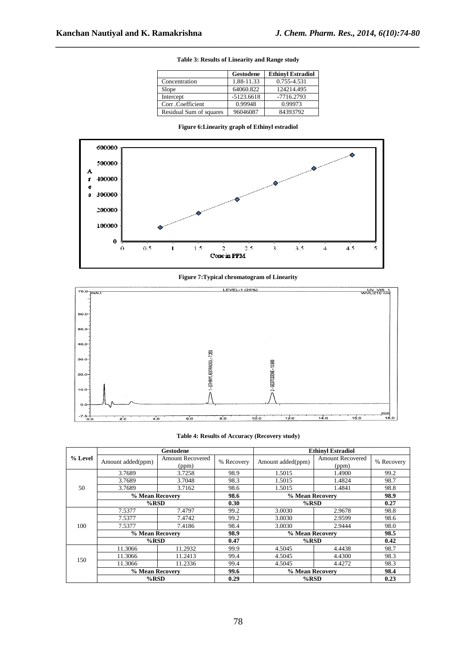|                         | Gestodene    | <b>Ethinyl Estradiol</b> |
|-------------------------|--------------|--------------------------|
| Concentration           | 1.88-11.33   | 0.755-4.531              |
| Slope                   | 64060.822    | 124214.495               |
| Intercept               | $-5123.6618$ | $-7716.2793$             |
| Corr .Coefficient       | 0.99948      | 0.99973                  |
| Residual Sum of squares | 96046087     | 84393792                 |

**Table 3: Results of Linearity and Range study** 

*\_\_\_\_\_\_\_\_\_\_\_\_\_\_\_\_\_\_\_\_\_\_\_\_\_\_\_\_\_\_\_\_\_\_\_\_\_\_\_\_\_\_\_\_\_\_\_\_\_\_\_\_\_\_\_\_\_\_\_\_\_\_\_\_\_\_\_\_\_\_\_\_\_\_\_\_\_\_*

| Figure 6: Linearity graph of Ethinyl estradiol |  |  |
|------------------------------------------------|--|--|
|------------------------------------------------|--|--|



### **Figure 7:Typical chromatogram of Linearity**



#### **Table 4: Results of Accuracy (Recovery study)**

|         | Gestodene         |                                  |            | <b>Ethinyl Estradiol</b> |                                  |            |
|---------|-------------------|----------------------------------|------------|--------------------------|----------------------------------|------------|
| % Level | Amount added(ppm) | <b>Amount Recovered</b><br>(ppm) | % Recovery | Amount added(ppm)        | <b>Amount Recovered</b><br>(ppm) | % Recovery |
|         | 3.7689            | 3.7258                           | 98.9       | 1.5015                   | 1.4900                           | 99.2       |
| 50      | 3.7689            | 3.7048                           | 98.3       | 1.5015                   | 1.4824                           | 98.7       |
|         | 3.7689            | 3.7162                           | 98.6       | 1.5015                   | 1.4841                           | 98.8       |
|         | % Mean Recovery   |                                  | 98.6       |                          | % Mean Recovery                  |            |
|         | $%$ RSD           |                                  | 0.30       | $%$ RSD                  |                                  | 0.27       |
|         | 7.5377            | 7.4797                           | 99.2       | 3.0030                   | 2.9678                           | 98.8       |
|         | 7.5377            | 7.4742                           | 99.2       | 3.0030                   | 2.9599                           | 98.6       |
| 100     | 7.5377            | 7.4186                           | 98.4       | 3.0030                   | 2.9444                           | 98.0       |
|         | % Mean Recovery   |                                  | 98.9       | % Mean Recovery          |                                  | 98.5       |
|         | $%$ RSD           |                                  | 0.47       | $%$ RSD                  |                                  | 0.42       |
| 150     | 11.3066           | 11.2932                          | 99.9       | 4.5045                   | 4.4438                           | 98.7       |
|         | 11.3066           | 11.2413                          | 99.4       | 4.5045                   | 4.4300                           | 98.3       |
|         | 11.3066           | 11.2336                          | 99.4       | 4.5045                   | 4.4272                           | 98.3       |
|         | % Mean Recovery   |                                  | 99.6       | % Mean Recovery          |                                  | 98.4       |
|         | $%$ RSD           |                                  | 0.29       | $%$ RSD                  |                                  | 0.23       |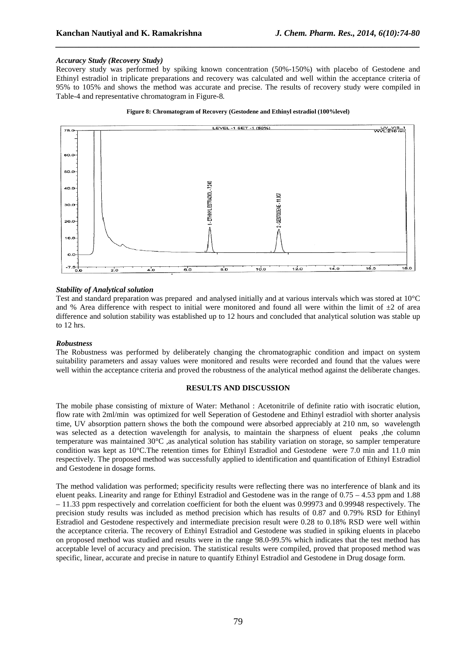# *Accuracy Study (Recovery Study)*

Recovery study was performed by spiking known concentration (50%-150%) with placebo of Gestodene and Ethinyl estradiol in triplicate preparations and recovery was calculated and well within the acceptance criteria of 95% to 105% and shows the method was accurate and precise. The results of recovery study were compiled in Table-4 and representative chromatogram in Figure-8*.* 

*\_\_\_\_\_\_\_\_\_\_\_\_\_\_\_\_\_\_\_\_\_\_\_\_\_\_\_\_\_\_\_\_\_\_\_\_\_\_\_\_\_\_\_\_\_\_\_\_\_\_\_\_\_\_\_\_\_\_\_\_\_\_\_\_\_\_\_\_\_\_\_\_\_\_\_\_\_\_*

#### **Figure 8: Chromatogram of Recovery (Gestodene and Ethinyl estradiol (100%level)**



# *Stability of Analytical solution*

Test and standard preparation was prepared and analysed initially and at various intervals which was stored at 10°C and % Area difference with respect to initial were monitored and found all were within the limit of  $\pm 2$  of area difference and solution stability was established up to 12 hours and concluded that analytical solution was stable up to 12 hrs.

#### *Robustness*

The Robustness was performed by deliberately changing the chromatographic condition and impact on system suitability parameters and assay values were monitored and results were recorded and found that the values were well within the acceptance criteria and proved the robustness of the analytical method against the deliberate changes.

## **RESULTS AND DISCUSSION**

The mobile phase consisting of mixture of Water: Methanol : Acetonitrile of definite ratio with isocratic elution, flow rate with 2ml/min was optimized for well Seperation of Gestodene and Ethinyl estradiol with shorter analysis time, UV absorption pattern shows the both the compound were absorbed appreciably at 210 nm, so wavelength was selected as a detection wavelength for analysis, to maintain the sharpness of eluent peaks ,the column temperature was maintained 30°C ,as analytical solution has stability variation on storage, so sampler temperature condition was kept as 10°C.The retention times for Ethinyl Estradiol and Gestodene were 7.0 min and 11.0 min respectively. The proposed method was successfully applied to identification and quantification of Ethinyl Estradiol and Gestodene in dosage forms.

The method validation was performed; specificity results were reflecting there was no interference of blank and its eluent peaks. Linearity and range for Ethinyl Estradiol and Gestodene was in the range of 0.75 – 4.53 ppm and 1.88 – 11.33 ppm respectively and correlation coefficient for both the eluent was 0.99973 and 0.99948 respectively. The precision study results was included as method precision which has results of 0.87 and 0.79% RSD for Ethinyl Estradiol and Gestodene respectively and intermediate precision result were 0.28 to 0.18% RSD were well within the acceptance criteria. The recovery of Ethinyl Estradiol and Gestodene was studied in spiking eluents in placebo on proposed method was studied and results were in the range 98.0-99.5% which indicates that the test method has acceptable level of accuracy and precision. The statistical results were compiled, proved that proposed method was specific, linear, accurate and precise in nature to quantify Ethinyl Estradiol and Gestodene in Drug dosage form.